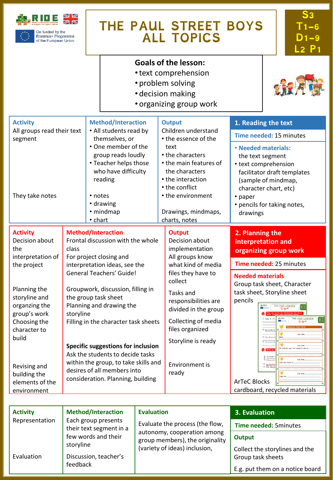

Co-funded by the<br>Erasmus+ Programme<br>of the European Union

# **THE PAUL STREET BOYS ALL TOPICS**

## **Goals of the lesson:**

- •text comprehension
- problem solving
- decision making
- organizing group work



| <b>Activity</b>                                                |                                                                                                                                                                                                                                                                                                                                  | <b>Method/Interaction</b><br>• All students read by<br>themselves, or                                                                                | <b>Output</b><br>Children understand<br>• the essence of the<br>text<br>• the characters<br>• the main features of<br>the characters<br>• the interaction<br>• the conflict<br>• the environment<br>Drawings, mindmaps,<br>charts, notes | 1. Reading the text                                                                                                                                                                                                                                                                                                                                                                                                                                                                                                                                                                                                                                                                     |
|----------------------------------------------------------------|----------------------------------------------------------------------------------------------------------------------------------------------------------------------------------------------------------------------------------------------------------------------------------------------------------------------------------|------------------------------------------------------------------------------------------------------------------------------------------------------|------------------------------------------------------------------------------------------------------------------------------------------------------------------------------------------------------------------------------------------|-----------------------------------------------------------------------------------------------------------------------------------------------------------------------------------------------------------------------------------------------------------------------------------------------------------------------------------------------------------------------------------------------------------------------------------------------------------------------------------------------------------------------------------------------------------------------------------------------------------------------------------------------------------------------------------------|
| All groups read their text<br>segment                          |                                                                                                                                                                                                                                                                                                                                  |                                                                                                                                                      |                                                                                                                                                                                                                                          | Time needed: 15 minutes                                                                                                                                                                                                                                                                                                                                                                                                                                                                                                                                                                                                                                                                 |
| They take notes                                                |                                                                                                                                                                                                                                                                                                                                  | . One member of the<br>group reads loudly<br>• Teacher helps those<br>who have difficulty<br>reading<br>• notes<br>• drawing<br>• mindmap<br>• chart |                                                                                                                                                                                                                                          | • Needed materials:<br>the text segment<br>• text comprehension<br>facilitator draft templates<br>(sample of mindmap,<br>character chart, etc)<br>• paper<br>• pencils for taking notes,<br>drawings                                                                                                                                                                                                                                                                                                                                                                                                                                                                                    |
| <b>Activity</b><br>Decision about<br>the                       | class                                                                                                                                                                                                                                                                                                                            | <b>Method/Interaction</b><br><b>Output</b><br>Frontal discussion with the whole<br>Decision about<br>implementation                                  |                                                                                                                                                                                                                                          | 2. Planning the<br>interpretation and<br>organizing group work                                                                                                                                                                                                                                                                                                                                                                                                                                                                                                                                                                                                                          |
| interpretation of<br>the project                               |                                                                                                                                                                                                                                                                                                                                  | For project closing and<br>interpretation ideas, see the                                                                                             | All groups know<br>what kind of media<br>files they have to<br>collect                                                                                                                                                                   | Time needed: 25 minutes                                                                                                                                                                                                                                                                                                                                                                                                                                                                                                                                                                                                                                                                 |
|                                                                |                                                                                                                                                                                                                                                                                                                                  | <b>General Teachers' Guide!</b>                                                                                                                      |                                                                                                                                                                                                                                          | <b>Needed materials</b><br>Group task sheet, Character                                                                                                                                                                                                                                                                                                                                                                                                                                                                                                                                                                                                                                  |
| Planning the<br>storyline and<br>organzing the<br>group's work | Groupwork, discussion, filling in<br>the group task sheet<br>Planning and drawing the<br>storyline<br>Filling in the character task sheets<br>Specific suggestions for inclusion<br>Ask the students to decide tasks<br>within the group, to take skills and<br>desires of all members into<br>consideration. Planning, building |                                                                                                                                                      | Tasks and<br>responsibilities are<br>divided in the group                                                                                                                                                                                | task sheet, Storyline sheet<br>pencils<br>4.1100<br>THE FIVE LOAVES<br>THE FIVE LOAVES<br><b>D</b> Dating the<br>$\begin{array}{ c } \hline s_1 & T_1 \\ \hline D_1 & L_2 \\\hline \end{array}$<br>Deart forget to<br><sup>CI</sup> Has sell as<br>$\overline{a}$<br>U Build up<br>$\begin{tabular}{ c c } \hline \rule{0.3cm}{.04cm} \rule{0.3cm}{.04cm} \rule{0.3cm}{.04cm} \rule{0.3cm}{.04cm} \rule{0.3cm}{.04cm} \rule{0.3cm}{.04cm} \rule{0.3cm}{.04cm} \rule{0.3cm}{.04cm} \rule{0.3cm}{.04cm} \rule{0.3cm}{.04cm} \rule{0.3cm}{.04cm} \rule{0.3cm}{.04cm} \rule{0.3cm}{.04cm} \rule{0.3cm}{.04cm} \rule{0.3cm}{.04cm} \rule{0.3cm}{.0$<br><b>Barbara</b><br><b>ArTeC Blocks</b> |
| Choosing the<br>character to                                   |                                                                                                                                                                                                                                                                                                                                  |                                                                                                                                                      | Collecting of media<br>files organized                                                                                                                                                                                                   |                                                                                                                                                                                                                                                                                                                                                                                                                                                                                                                                                                                                                                                                                         |
| build<br>Revising and<br>building the                          |                                                                                                                                                                                                                                                                                                                                  |                                                                                                                                                      | Storyline is ready<br><b>Environment is</b><br>ready                                                                                                                                                                                     |                                                                                                                                                                                                                                                                                                                                                                                                                                                                                                                                                                                                                                                                                         |
| elements of the<br>environment                                 |                                                                                                                                                                                                                                                                                                                                  |                                                                                                                                                      |                                                                                                                                                                                                                                          | cardboard, recycled materials                                                                                                                                                                                                                                                                                                                                                                                                                                                                                                                                                                                                                                                           |

| <b>Activity</b> | <b>Method/Interaction</b>                      | <b>Evaluation</b><br>Evaluate the process (the flow,<br>autonomy, cooperation among<br>group members), the originality<br>(variety of ideas) inclusion, | 3. Evaluation                                        |
|-----------------|------------------------------------------------|---------------------------------------------------------------------------------------------------------------------------------------------------------|------------------------------------------------------|
| Representation  | Each group presents<br>their text segment in a |                                                                                                                                                         | Time needed: 5minutes                                |
|                 | few words and their<br>storyline               |                                                                                                                                                         | Output<br>Collect the storylines and the             |
| Evaluation      | Discussion, teacher's<br>feedback              |                                                                                                                                                         | Group task sheets<br>E.g. put them on a notice board |